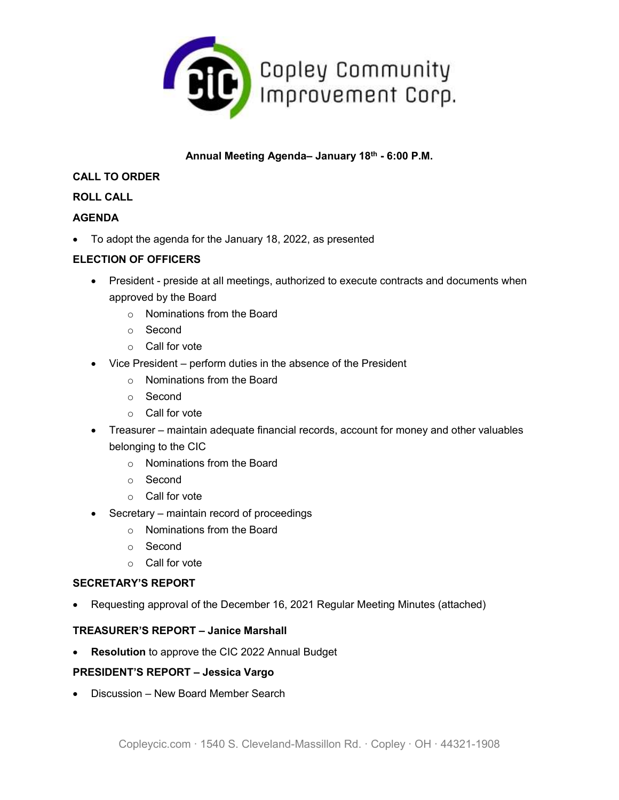

# **Annual Meeting Agenda– January 18th - 6:00 P.M.**

### **CALL TO ORDER**

## **ROLL CALL**

## **AGENDA**

To adopt the agenda for the January 18, 2022, as presented

## **ELECTION OF OFFICERS**

- President preside at all meetings, authorized to execute contracts and documents when approved by the Board
	- o Nominations from the Board
	- o Second
	- o Call for vote
- Vice President perform duties in the absence of the President
	- o Nominations from the Board
	- o Second
	- o Call for vote
- Treasurer maintain adequate financial records, account for money and other valuables belonging to the CIC
	- o Nominations from the Board
	- o Second
	- o Call for vote
- Secretary maintain record of proceedings
	- o Nominations from the Board
	- o Second
	- o Call for vote

#### **SECRETARY'S REPORT**

Requesting approval of the December 16, 2021 Regular Meeting Minutes (attached)

#### **TREASURER'S REPORT – Janice Marshall**

**Resolution** to approve the CIC 2022 Annual Budget

#### **PRESIDENT'S REPORT – Jessica Vargo**

• Discussion – New Board Member Search